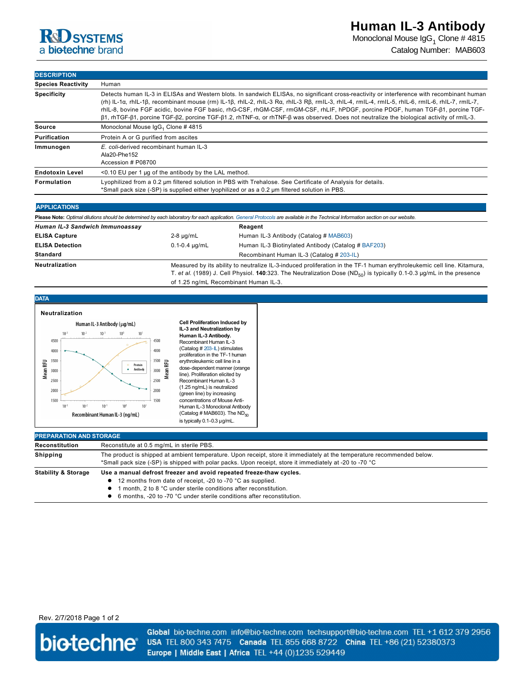## **R**d SYSTEMS a biotechne brand

Monoclonal Mouse IgG $_1$  Clone # 4815 Catalog Number: MAB603

**DESCRIPTION**

| <b>Species Reactivity</b> | Human                                                                                                                                                                                                                                                                                                                                                                                                                                                                                                                                                                          |  |
|---------------------------|--------------------------------------------------------------------------------------------------------------------------------------------------------------------------------------------------------------------------------------------------------------------------------------------------------------------------------------------------------------------------------------------------------------------------------------------------------------------------------------------------------------------------------------------------------------------------------|--|
| <b>Specificity</b>        | Detects human IL-3 in ELISAs and Western blots. In sandwich ELISAs, no significant cross-reactivity or interference with recombinant human<br>(rh) IL-1a, rhIL-1β, recombinant mouse (rm) IL-1β, rhIL-2, rhIL-3 Ra, rhIL-3 Rβ, rmIL-3, rhIL-4, rmIL-4, rmIL-5, rhIL-6, rmIL-6, rhIL-7, rmIL-7,<br>rhIL-8, bovine FGF acidic, bovine FGF basic, rhG-CSF, rhGM-CSF, rmGM-CSF, rhLIF, hPDGF, porcine PDGF, human TGF-ß1, porcine TGF-<br>β1, rhTGF-β1, porcine TGF-β2, porcine TGF-β1.2, rhTNF-α, or rhTNF-β was observed. Does not neutralize the biological activity of rmIL-3. |  |
| Source                    | Monoclonal Mouse IgG <sub>1</sub> Clone #4815                                                                                                                                                                                                                                                                                                                                                                                                                                                                                                                                  |  |
| Purification              | Protein A or G purified from ascites                                                                                                                                                                                                                                                                                                                                                                                                                                                                                                                                           |  |
| Immunogen                 | E. coli-derived recombinant human IL-3<br>Ala20-Phe152<br>Accession # P08700                                                                                                                                                                                                                                                                                                                                                                                                                                                                                                   |  |
| <b>Endotoxin Level</b>    | $<$ 0.10 EU per 1 µg of the antibody by the LAL method.                                                                                                                                                                                                                                                                                                                                                                                                                                                                                                                        |  |
| Formulation               | Lyophilized from a 0.2 um filtered solution in PBS with Trehalose. See Certificate of Analysis for details.<br>*Small pack size (-SP) is supplied either lyophilized or as a 0.2 µm filtered solution in PBS.                                                                                                                                                                                                                                                                                                                                                                  |  |
|                           |                                                                                                                                                                                                                                                                                                                                                                                                                                                                                                                                                                                |  |

## **APPLICATIONS**

| Please Note: Optimal dilutions should be determined by each laboratory for each application. General Protocols are available in the Technical Information section on our website. |                                                                                                                                                                                                                                                                                                       |                                                     |  |
|-----------------------------------------------------------------------------------------------------------------------------------------------------------------------------------|-------------------------------------------------------------------------------------------------------------------------------------------------------------------------------------------------------------------------------------------------------------------------------------------------------|-----------------------------------------------------|--|
| Human IL-3 Sandwich Immunoassay                                                                                                                                                   |                                                                                                                                                                                                                                                                                                       | Reagent                                             |  |
| <b>ELISA Capture</b>                                                                                                                                                              | $2-8 \mu q/mL$                                                                                                                                                                                                                                                                                        | Human IL-3 Antibody (Catalog # MAB603)              |  |
| <b>ELISA Detection</b>                                                                                                                                                            | $0.1 - 0.4 \mu q/mL$                                                                                                                                                                                                                                                                                  | Human IL-3 Biotinylated Antibody (Catalog # BAF203) |  |
| Standard                                                                                                                                                                          |                                                                                                                                                                                                                                                                                                       | Recombinant Human IL-3 (Catalog # 203-IL)           |  |
| <b>Neutralization</b>                                                                                                                                                             | Measured by its ability to neutralize IL-3-induced proliferation in the TF-1 human erythroleukemic cell line. Kitamura,<br>T. et al. (1989) J. Cell Physiol. 140:323. The Neutralization Dose (ND <sub>50</sub> ) is typically 0.1-0.3 µg/mL in the presence<br>of 1.25 ng/mL Recombinant Human IL-3. |                                                     |  |



| Reconstitution                 | Reconstitute at 0.5 mg/mL in sterile PBS.                                                                                                                                                                                          |  |
|--------------------------------|------------------------------------------------------------------------------------------------------------------------------------------------------------------------------------------------------------------------------------|--|
| <b>Shipping</b>                | The product is shipped at ambient temperature. Upon receipt, store it immediately at the temperature recommended below.<br>*Small pack size (-SP) is shipped with polar packs. Upon receipt, store it immediately at -20 to -70 °C |  |
| <b>Stability &amp; Storage</b> | Use a manual defrost freezer and avoid repeated freeze-thaw cycles.                                                                                                                                                                |  |
|                                | • 12 months from date of receipt, -20 to -70 °C as supplied.                                                                                                                                                                       |  |
|                                | month, 2 to 8 °C under sterile conditions after reconstitution.                                                                                                                                                                    |  |
|                                | 6 months, -20 to -70 °C under sterile conditions after reconstitution.                                                                                                                                                             |  |

## Rev. 2/7/2018 Page 1 of 2



Global bio-techne.com info@bio-techne.com techsupport@bio-techne.com TEL +1 612 379 2956 USA TEL 800 343 7475 Canada TEL 855 668 8722 China TEL +86 (21) 52380373 Europe | Middle East | Africa TEL +44 (0)1235 529449